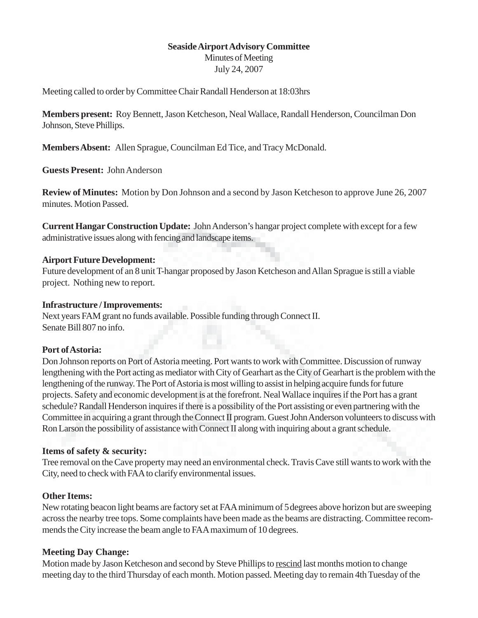## **Seaside Airport Advisory Committee**

Minutes of Meeting July 24, 2007

Meeting called to order by Committee Chair Randall Henderson at 18:03hrs

**Members present:** Roy Bennett, Jason Ketcheson, Neal Wallace, Randall Henderson, Councilman Don Johnson, Steve Phillips.

**Members Absent:** Allen Sprague, Councilman Ed Tice, and Tracy McDonald.

**Guests Present:** John Anderson

**Review of Minutes:** Motion by Don Johnson and a second by Jason Ketcheson to approve June 26, 2007 minutes. Motion Passed.

**Current Hangar Construction Update:** John Anderson's hangar project complete with except for a few administrative issues along with fencing and landscape items.

### **Airport Future Development:**

Future development of an 8 unit T-hangar proposed by Jason Ketcheson and Allan Sprague is still a viable project. Nothing new to report.

# **Infrastructure / Improvements:**

Next years FAM grant no funds available. Possible funding through Connect II. Senate Bill 807 no info.

### **Port of Astoria:**

Don Johnson reports on Port of Astoria meeting. Port wants to work with Committee. Discussion of runway lengthening with the Port acting as mediator with City of Gearhart as the City of Gearhart is the problem with the lengthening of the runway. The Port of Astoria is most willing to assist in helping acquire funds for future projects. Safety and economic development is at the forefront. Neal Wallace inquires if the Port has a grant schedule? Randall Henderson inquires if there is a possibility of the Port assisting or even partnering with the Committee in acquiring a grant through the Connect II program. Guest John Anderson volunteers to discuss with Ron Larson the possibility of assistance with Connect II along with inquiring about a grant schedule.

### **Items of safety & security:**

Tree removal on the Cave property may need an environmental check. Travis Cave still wants to work with the City, need to check with FAA to clarify environmental issues.

# **Other Items:**

New rotating beacon light beams are factory set at FAA minimum of 5degrees above horizon but are sweeping across the nearby tree tops. Some complaints have been made as the beams are distracting. Committee recommends the City increase the beam angle to FAA maximum of 10 degrees.

# **Meeting Day Change:**

Motion made by Jason Ketcheson and second by Steve Phillips to rescind last months motion to change meeting day to the third Thursday of each month. Motion passed. Meeting day to remain 4th Tuesday of the